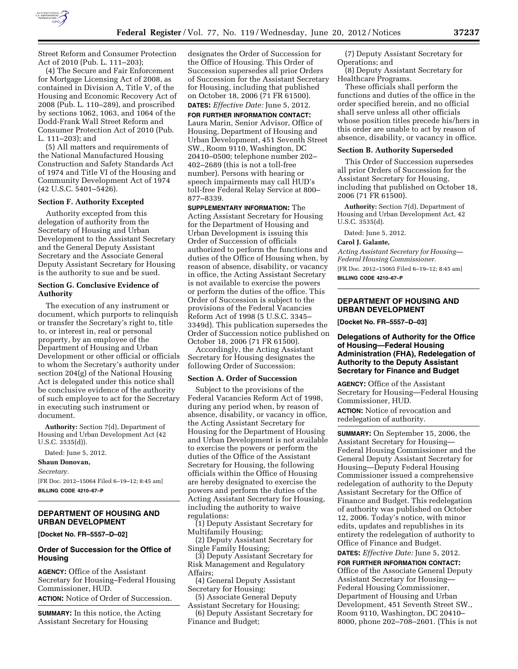

Street Reform and Consumer Protection Act of 2010 (Pub. L. 111–203);

(4) The Secure and Fair Enforcement for Mortgage Licensing Act of 2008, as contained in Division A, Title V, of the Housing and Economic Recovery Act of 2008 (Pub. L. 110–289), and proscribed by sections 1062, 1063, and 1064 of the Dodd-Frank Wall Street Reform and Consumer Protection Act of 2010 (Pub. L. 111–203); and

(5) All matters and requirements of the National Manufactured Housing Construction and Safety Standards Act of 1974 and Title VI of the Housing and Community Development Act of 1974 (42 U.S.C. 5401–5426).

#### **Section F. Authority Excepted**

Authority excepted from this delegation of authority from the Secretary of Housing and Urban Development to the Assistant Secretary and the General Deputy Assistant Secretary and the Associate General Deputy Assistant Secretary for Housing is the authority to sue and be sued.

## **Section G. Conclusive Evidence of Authority**

The execution of any instrument or document, which purports to relinquish or transfer the Secretary's right to, title to, or interest in, real or personal property, by an employee of the Department of Housing and Urban Development or other official or officials to whom the Secretary's authority under section 204(g) of the National Housing Act is delegated under this notice shall be conclusive evidence of the authority of such employee to act for the Secretary in executing such instrument or document.

**Authority:** Section 7(d), Department of Housing and Urban Development Act (42 U.S.C. 3535(d)).

Dated: June 5, 2012.

# **Shaun Donovan,**

*Secretary.* 

[FR Doc. 2012–15064 Filed 6–19–12; 8:45 am] **BILLING CODE 4210–67–P** 

## **DEPARTMENT OF HOUSING AND URBAN DEVELOPMENT**

**[Docket No. FR–5557–D–02]** 

## **Order of Succession for the Office of Housing**

**AGENCY:** Office of the Assistant Secretary for Housing–Federal Housing Commissioner, HUD.

**ACTION:** Notice of Order of Succession.

**SUMMARY:** In this notice, the Acting Assistant Secretary for Housing

designates the Order of Succession for the Office of Housing. This Order of Succession supersedes all prior Orders of Succession for the Assistant Secretary for Housing, including that published on October 18, 2006 (71 FR 61500). **DATES:** *Effective Date:* June 5, 2012.

# **FOR FURTHER INFORMATION CONTACT:**

Laura Marin, Senior Advisor, Office of Housing, Department of Housing and Urban Development, 451 Seventh Street SW., Room 9110, Washington, DC 20410–0500; telephone number 202– 402–2689 (this is not a toll-free number). Persons with hearing or speech impairments may call HUD's toll-free Federal Relay Service at 800– 877–8339.

**SUPPLEMENTARY INFORMATION:** The Acting Assistant Secretary for Housing for the Department of Housing and Urban Development is issuing this Order of Succession of officials authorized to perform the functions and duties of the Office of Housing when, by reason of absence, disability, or vacancy in office, the Acting Assistant Secretary is not available to exercise the powers or perform the duties of the office. This Order of Succession is subject to the provisions of the Federal Vacancies Reform Act of 1998 (5 U.S.C. 3345– 3349d). This publication supersedes the Order of Succession notice published on October 18, 2006 (71 FR 61500).

Accordingly, the Acting Assistant Secretary for Housing designates the following Order of Succession:

#### **Section A. Order of Succession**

Subject to the provisions of the Federal Vacancies Reform Act of 1998, during any period when, by reason of absence, disability, or vacancy in office, the Acting Assistant Secretary for Housing for the Department of Housing and Urban Development is not available to exercise the powers or perform the duties of the Office of the Assistant Secretary for Housing, the following officials within the Office of Housing are hereby designated to exercise the powers and perform the duties of the Acting Assistant Secretary for Housing, including the authority to waive regulations:

(1) Deputy Assistant Secretary for Multifamily Housing;

(2) Deputy Assistant Secretary for Single Family Housing;

(3) Deputy Assistant Secretary for Risk Management and Regulatory Affairs;

(4) General Deputy Assistant Secretary for Housing;

(5) Associate General Deputy Assistant Secretary for Housing;

(6) Deputy Assistant Secretary for Finance and Budget;

(7) Deputy Assistant Secretary for Operations; and

(8) Deputy Assistant Secretary for Healthcare Programs.

These officials shall perform the functions and duties of the office in the order specified herein, and no official shall serve unless all other officials whose position titles precede his/hers in this order are unable to act by reason of absence, disability, or vacancy in office.

#### **Section B. Authority Superseded**

This Order of Succession supersedes all prior Orders of Succession for the Assistant Secretary for Housing, including that published on October 18, 2006 (71 FR 61500).

**Authority:** Section 7(d), Department of Housing and Urban Development Act, 42 U.S.C. 3535(d).

Dated: June 5, 2012.

#### **Carol J. Galante,**

*Acting Assistant Secretary for Housing— Federal Housing Commissioner.*  [FR Doc. 2012–15065 Filed 6–19–12; 8:45 am]

**BILLING CODE 4210–67–P** 

# **DEPARTMENT OF HOUSING AND URBAN DEVELOPMENT**

**[Docket No. FR–5557–D–03]** 

## **Delegations of Authority for the Office of Housing—Federal Housing Administration (FHA), Redelegation of Authority to the Deputy Assistant Secretary for Finance and Budget**

**AGENCY:** Office of the Assistant Secretary for Housing—Federal Housing Commissioner, HUD.

**ACTION:** Notice of revocation and redelegation of authority.

**SUMMARY:** On September 15, 2006, the Assistant Secretary for Housing— Federal Housing Commissioner and the General Deputy Assistant Secretary for Housing—Deputy Federal Housing Commissioner issued a comprehensive redelegation of authority to the Deputy Assistant Secretary for the Office of Finance and Budget. This redelegation of authority was published on October 12, 2006. Today's notice, with minor edits, updates and republishes in its entirety the redelegation of authority to Office of Finance and Budget.

**DATES:** *Effective Date:* June 5, 2012. **FOR FURTHER INFORMATION CONTACT:** 

Office of the Associate General Deputy Assistant Secretary for Housing— Federal Housing Commissioner, Department of Housing and Urban Development, 451 Seventh Street SW., Room 9110, Washington, DC 20410– 8000, phone 202–708–2601. (This is not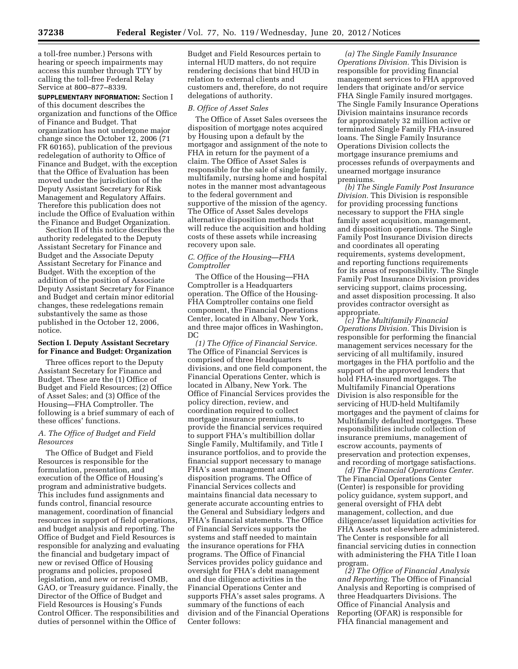a toll-free number.) Persons with hearing or speech impairments may access this number through TTY by calling the toll-free Federal Relay Service at 800–877–8339.

**SUPPLEMENTARY INFORMATION:** Section I of this document describes the organization and functions of the Office of Finance and Budget. That organization has not undergone major change since the October 12, 2006 (71 FR 60165), publication of the previous redelegation of authority to Office of Finance and Budget, with the exception that the Office of Evaluation has been moved under the jurisdiction of the Deputy Assistant Secretary for Risk Management and Regulatory Affairs. Therefore this publication does not include the Office of Evaluation within the Finance and Budget Organization.

Section II of this notice describes the authority redelegated to the Deputy Assistant Secretary for Finance and Budget and the Associate Deputy Assistant Secretary for Finance and Budget. With the exception of the addition of the position of Associate Deputy Assistant Secretary for Finance and Budget and certain minor editorial changes, these redelegations remain substantively the same as those published in the October 12, 2006, notice.

## **Section I. Deputy Assistant Secretary for Finance and Budget: Organization**

Three offices report to the Deputy Assistant Secretary for Finance and Budget. These are the (1) Office of Budget and Field Resources; (2) Office of Asset Sales; and (3) Office of the Housing—FHA Comptroller. The following is a brief summary of each of these offices' functions.

## *A. The Office of Budget and Field Resources*

The Office of Budget and Field Resources is responsible for the formulation, presentation, and execution of the Office of Housing's program and administrative budgets. This includes fund assignments and funds control, financial resource management, coordination of financial resources in support of field operations, and budget analysis and reporting. The Office of Budget and Field Resources is responsible for analyzing and evaluating the financial and budgetary impact of new or revised Office of Housing programs and policies, proposed legislation, and new or revised OMB, GAO, or Treasury guidance. Finally, the Director of the Office of Budget and Field Resources is Housing's Funds Control Officer. The responsibilities and duties of personnel within the Office of

Budget and Field Resources pertain to internal HUD matters, do not require rendering decisions that bind HUD in relation to external clients and customers and, therefore, do not require delegations of authority.

#### *B. Office of Asset Sales*

The Office of Asset Sales oversees the disposition of mortgage notes acquired by Housing upon a default by the mortgagor and assignment of the note to FHA in return for the payment of a claim. The Office of Asset Sales is responsible for the sale of single family, multifamily, nursing home and hospital notes in the manner most advantageous to the federal government and supportive of the mission of the agency. The Office of Asset Sales develops alternative disposition methods that will reduce the acquisition and holding costs of these assets while increasing recovery upon sale.

## *C. Office of the Housing—FHA Comptroller*

The Office of the Housing—FHA Comptroller is a Headquarters operation. The Office of the Housing-FHA Comptroller contains one field component, the Financial Operations Center, located in Albany, New York, and three major offices in Washington, DC

*(1) The Office of Financial Service.*  The Office of Financial Services is comprised of three Headquarters divisions, and one field component, the Financial Operations Center, which is located in Albany, New York. The Office of Financial Services provides the policy direction, review, and coordination required to collect mortgage insurance premiums, to provide the financial services required to support FHA's multibillion dollar Single Family, Multifamily, and Title I insurance portfolios, and to provide the financial support necessary to manage FHA's asset management and disposition programs. The Office of Financial Services collects and maintains financial data necessary to generate accurate accounting entries to the General and Subsidiary ledgers and FHA's financial statements. The Office of Financial Services supports the systems and staff needed to maintain the insurance operations for FHA programs. The Office of Financial Services provides policy guidance and oversight for FHA's debt management and due diligence activities in the Financial Operations Center and supports FHA's asset sales programs. A summary of the functions of each division and of the Financial Operations Center follows:

*(a) The Single Family Insurance Operations Division.* This Division is responsible for providing financial management services to FHA approved lenders that originate and/or service FHA Single Family insured mortgages. The Single Family Insurance Operations Division maintains insurance records for approximately 32 million active or terminated Single Family FHA-insured loans. The Single Family Insurance Operations Division collects the mortgage insurance premiums and processes refunds of overpayments and unearned mortgage insurance premiums.

*(b) The Single Family Post Insurance Division.* This Division is responsible for providing processing functions necessary to support the FHA single family asset acquisition, management, and disposition operations. The Single Family Post Insurance Division directs and coordinates all operating requirements, systems development, and reporting functions requirements for its areas of responsibility. The Single Family Post Insurance Division provides servicing support, claims processing, and asset disposition processing. It also provides contractor oversight as appropriate.

*(c) The Multifamily Financial Operations Division.* This Division is responsible for performing the financial management services necessary for the servicing of all multifamily, insured mortgages in the FHA portfolio and the support of the approved lenders that hold FHA-insured mortgages. The Multifamily Financial Operations Division is also responsible for the servicing of HUD-held Multifamily mortgages and the payment of claims for Multifamily defaulted mortgages. These responsibilities include collection of insurance premiums, management of escrow accounts, payments of preservation and protection expenses, and recording of mortgage satisfactions.

*(d) The Financial Operations Center.*  The Financial Operations Center (Center) is responsible for providing policy guidance, system support, and general oversight of FHA debt management, collection, and due diligence/asset liquidation activities for FHA Assets not elsewhere administered. The Center is responsible for all financial servicing duties in connection with administering the FHA Title I loan program.

*(2) The Office of Financial Analysis and Reporting.* The Office of Financial Analysis and Reporting is comprised of three Headquarters Divisions. The Office of Financial Analysis and Reporting (OFAR) is responsible for FHA financial management and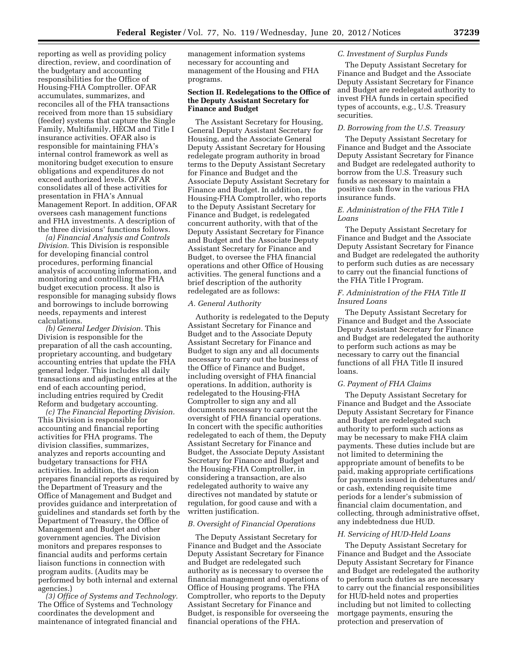reporting as well as providing policy direction, review, and coordination of the budgetary and accounting responsibilities for the Office of Housing-FHA Comptroller. OFAR accumulates, summarizes, and reconciles all of the FHA transactions received from more than 15 subsidiary (feeder) systems that capture the Single Family, Multifamily, HECM and Title I insurance activities. OFAR also is responsible for maintaining FHA's internal control framework as well as monitoring budget execution to ensure obligations and expenditures do not exceed authorized levels. OFAR consolidates all of these activities for presentation in FHA's Annual Management Report. In addition, OFAR oversees cash management functions and FHA investments. A description of the three divisions' functions follows.

*(a) Financial Analysis and Controls Division.* This Division is responsible for developing financial control procedures, performing financial analysis of accounting information, and monitoring and controlling the FHA budget execution process. It also is responsible for managing subsidy flows and borrowings to include borrowing needs, repayments and interest calculations.

*(b) General Ledger Division.* This Division is responsible for the preparation of all the cash accounting, proprietary accounting, and budgetary accounting entries that update the FHA general ledger. This includes all daily transactions and adjusting entries at the end of each accounting period, including entries required by Credit Reform and budgetary accounting.

*(c) The Financial Reporting Division.*  This Division is responsible for accounting and financial reporting activities for FHA programs. The division classifies, summarizes, analyzes and reports accounting and budgetary transactions for FHA activities. In addition, the division prepares financial reports as required by the Department of Treasury and the Office of Management and Budget and provides guidance and interpretation of guidelines and standards set forth by the Department of Treasury, the Office of Management and Budget and other government agencies. The Division monitors and prepares responses to financial audits and performs certain liaison functions in connection with program audits. (Audits may be performed by both internal and external agencies.)

*(3) Office of Systems and Technology.*  The Office of Systems and Technology coordinates the development and maintenance of integrated financial and management information systems necessary for accounting and management of the Housing and FHA programs.

## **Section II. Redelegations to the Office of the Deputy Assistant Secretary for Finance and Budget**

The Assistant Secretary for Housing, General Deputy Assistant Secretary for Housing, and the Associate General Deputy Assistant Secretary for Housing redelegate program authority in broad terms to the Deputy Assistant Secretary for Finance and Budget and the Associate Deputy Assistant Secretary for Finance and Budget. In addition, the Housing-FHA Comptroller, who reports to the Deputy Assistant Secretary for Finance and Budget, is redelegated concurrent authority, with that of the Deputy Assistant Secretary for Finance and Budget and the Associate Deputy Assistant Secretary for Finance and Budget, to oversee the FHA financial operations and other Office of Housing activities. The general functions and a brief description of the authority redelegated are as follows:

#### *A. General Authority*

Authority is redelegated to the Deputy Assistant Secretary for Finance and Budget and to the Associate Deputy Assistant Secretary for Finance and Budget to sign any and all documents necessary to carry out the business of the Office of Finance and Budget, including oversight of FHA financial operations. In addition, authority is redelegated to the Housing-FHA Comptroller to sign any and all documents necessary to carry out the oversight of FHA financial operations. In concert with the specific authorities redelegated to each of them, the Deputy Assistant Secretary for Finance and Budget, the Associate Deputy Assistant Secretary for Finance and Budget and the Housing-FHA Comptroller, in considering a transaction, are also redelegated authority to waive any directives not mandated by statute or regulation, for good cause and with a written justification.

#### *B. Oversight of Financial Operations*

The Deputy Assistant Secretary for Finance and Budget and the Associate Deputy Assistant Secretary for Finance and Budget are redelegated such authority as is necessary to oversee the financial management and operations of Office of Housing programs. The FHA Comptroller, who reports to the Deputy Assistant Secretary for Finance and Budget, is responsible for overseeing the financial operations of the FHA.

## *C. Investment of Surplus Funds*

The Deputy Assistant Secretary for Finance and Budget and the Associate Deputy Assistant Secretary for Finance and Budget are redelegated authority to invest FHA funds in certain specified types of accounts, e.g., U.S. Treasury securities.

#### *D. Borrowing from the U.S. Treasury*

The Deputy Assistant Secretary for Finance and Budget and the Associate Deputy Assistant Secretary for Finance and Budget are redelegated authority to borrow from the U.S. Treasury such funds as necessary to maintain a positive cash flow in the various FHA insurance funds.

## *E. Administration of the FHA Title I Loans*

The Deputy Assistant Secretary for Finance and Budget and the Associate Deputy Assistant Secretary for Finance and Budget are redelegated the authority to perform such duties as are necessary to carry out the financial functions of the FHA Title I Program.

## *F. Administration of the FHA Title II Insured Loans*

The Deputy Assistant Secretary for Finance and Budget and the Associate Deputy Assistant Secretary for Finance and Budget are redelegated the authority to perform such actions as may be necessary to carry out the financial functions of all FHA Title II insured loans.

#### *G. Payment of FHA Claims*

The Deputy Assistant Secretary for Finance and Budget and the Associate Deputy Assistant Secretary for Finance and Budget are redelegated such authority to perform such actions as may be necessary to make FHA claim payments. These duties include but are not limited to determining the appropriate amount of benefits to be paid, making appropriate certifications for payments issued in debentures and/ or cash, extending requisite time periods for a lender's submission of financial claim documentation, and collecting, through administrative offset, any indebtedness due HUD.

#### *H. Servicing of HUD-Held Loans*

The Deputy Assistant Secretary for Finance and Budget and the Associate Deputy Assistant Secretary for Finance and Budget are redelegated the authority to perform such duties as are necessary to carry out the financial responsibilities for HUD-held notes and properties including but not limited to collecting mortgage payments, ensuring the protection and preservation of